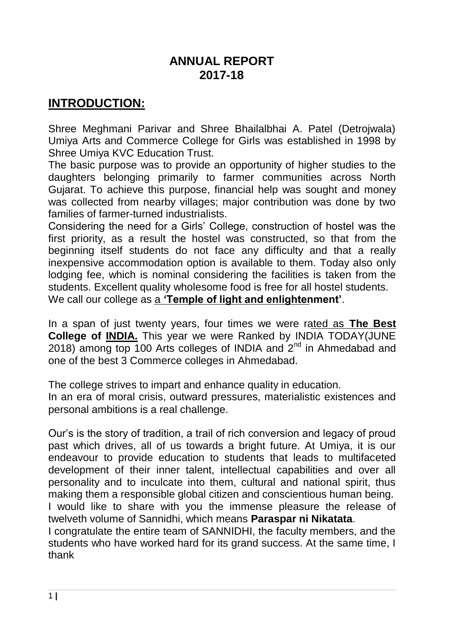### **ANNUAL REPORT 2017-18**

## **INTRODUCTION:**

Shree Meghmani Parivar and Shree Bhailalbhai A. Patel (Detrojwala) Umiya Arts and Commerce College for Girls was established in 1998 by Shree Umiya KVC Education Trust.

The basic purpose was to provide an opportunity of higher studies to the daughters belonging primarily to farmer communities across North Gujarat. To achieve this purpose, financial help was sought and money was collected from nearby villages; major contribution was done by two families of farmer-turned industrialists.

Considering the need for a Girls' College, construction of hostel was the first priority, as a result the hostel was constructed, so that from the beginning itself students do not face any difficulty and that a really inexpensive accommodation option is available to them. Today also only lodging fee, which is nominal considering the facilities is taken from the students. Excellent quality wholesome food is free for all hostel students.

We call our college as a **"Temple of light and enlightenment"**.

In a span of just twenty years, four times we were rated as **The Best College of INDIA.** This year we were Ranked by INDIA TODAY(JUNE 2018) among top 100 Arts colleges of INDIA and  $2^{nd}$  in Ahmedabad and one of the best 3 Commerce colleges in Ahmedabad.

The college strives to impart and enhance quality in education.

In an era of moral crisis, outward pressures, materialistic existences and personal ambitions is a real challenge.

Our's is the story of tradition, a trail of rich conversion and legacy of proud past which drives, all of us towards a bright future. At Umiya, it is our endeavour to provide education to students that leads to multifaceted development of their inner talent, intellectual capabilities and over all personality and to inculcate into them, cultural and national spirit, thus making them a responsible global citizen and conscientious human being.

I would like to share with you the immense pleasure the release of twelveth volume of Sannidhi, which means **Paraspar ni Nikatata**.

I congratulate the entire team of SANNIDHI, the faculty members, and the students who have worked hard for its grand success. At the same time, I thank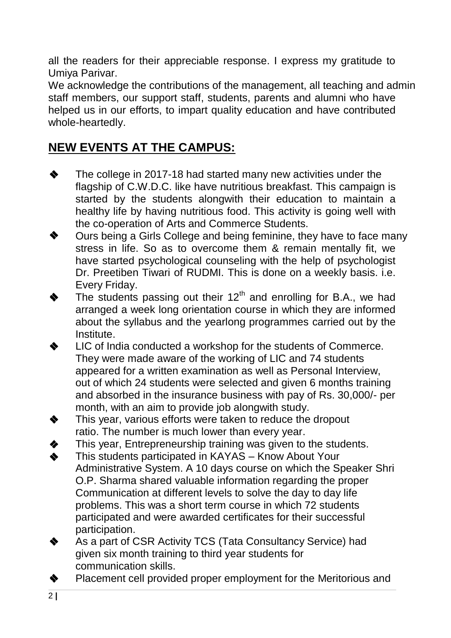all the readers for their appreciable response. I express my gratitude to Umiya Parivar.

We acknowledge the contributions of the management, all teaching and admin staff members, our support staff, students, parents and alumni who have helped us in our efforts, to impart quality education and have contributed whole-heartedly.

# **NEW EVENTS AT THE CAMPUS:**

- The college in 2017-18 had started many new activities under the flagship of C.W.D.C. like have nutritious breakfast. This campaign is started by the students alongwith their education to maintain a healthy life by having nutritious food. This activity is going well with the co-operation of Arts and Commerce Students. ❖
- Ours being a Girls College and being feminine, they have to face many stress in life. So as to overcome them & remain mentally fit, we have started psychological counseling with the help of psychologist Dr. Preetiben Tiwari of RUDMI. This is done on a weekly basis. i.e. Every Friday. ❖
- The students passing out their  $12<sup>th</sup>$  and enrolling for B.A., we had arranged a week long orientation course in which they are informed about the syllabus and the yearlong programmes carried out by the Institute. ❖
- LIC of India conducted a workshop for the students of Commerce. They were made aware of the working of LIC and 74 students appeared for a written examination as well as Personal Interview, out of which 24 students were selected and given 6 months training and absorbed in the insurance business with pay of Rs. 30,000/- per month, with an aim to provide job alongwith study. ❖
- This year, various efforts were taken to reduce the dropout ratio. The number is much lower than every year. ❖
- This year, Entrepreneurship training was given to the students. ❖
- This students participated in KAYAS Know About Your Administrative System. A 10 days course on which the Speaker Shri O.P. Sharma shared valuable information regarding the proper Communication at different levels to solve the day to day life problems. This was a short term course in which 72 students participated and were awarded certificates for their successful participation. ❖
- As a part of CSR Activity TCS (Tata Consultancy Service) had given six month training to third year students for communication skills. ❖
- Placement cell provided proper employment for the Meritorious and ❖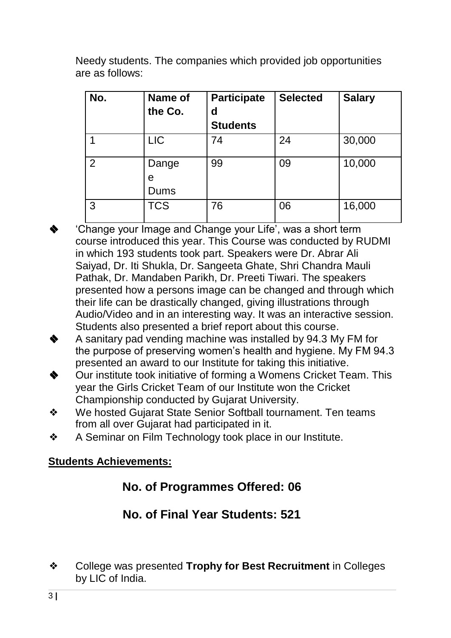Needy students. The companies which provided job opportunities are as follows:

| No.            | Name of<br>the Co. | <b>Participate</b><br>d<br><b>Students</b> | <b>Selected</b> | <b>Salary</b> |
|----------------|--------------------|--------------------------------------------|-----------------|---------------|
|                | <b>LIC</b>         | 74                                         | 24              | 30,000        |
| $\overline{2}$ | Dange<br>e<br>Dums | 99                                         | 09              | 10,000        |
| 3              | <b>TCS</b>         | 76                                         | 06              | 16,000        |

- 'Change your Image and Change your Life', was a short term course introduced this year. This Course was conducted by RUDMI in which 193 students took part. Speakers were Dr. Abrar Ali Saiyad, Dr. Iti Shukla, Dr. Sangeeta Ghate, Shri Chandra Mauli Pathak, Dr. Mandaben Parikh, Dr. Preeti Tiwari. The speakers presented how a persons image can be changed and through which their life can be drastically changed, giving illustrations through Audio/Video and in an interesting way. It was an interactive session. Students also presented a brief report about this course. ❖
- A sanitary pad vending machine was installed by 94.3 My FM for the purpose of preserving women's health and hygiene. My FM 94.3 presented an award to our Institute for taking this initiative. ❖
- Our institute took initiative of forming a Womens Cricket Team. This year the Girls Cricket Team of our Institute won the Cricket Championship conducted by Gujarat University. ❖
- ❖ We hosted Gujarat State Senior Softball tournament. Ten teams from all over Gujarat had participated in it.
- ❖ A Seminar on Film Technology took place in our Institute.

#### **Students Achievements:**

## **No. of Programmes Offered: 06**

# **No. of Final Year Students: 521**

❖ College was presented **Trophy for Best Recruitment** in Colleges by LIC of India.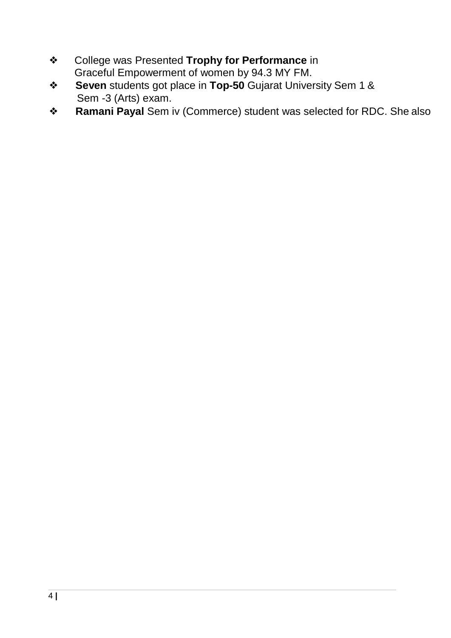- ❖ College was Presented **Trophy for Performance** in Graceful Empowerment of women by 94.3 MY FM.
- ❖ **Seven** students got place in **Top-50** Gujarat University Sem 1 & Sem -3 (Arts) exam.
- ❖ **Ramani Payal** Sem iv (Commerce) student was selected for RDC. She also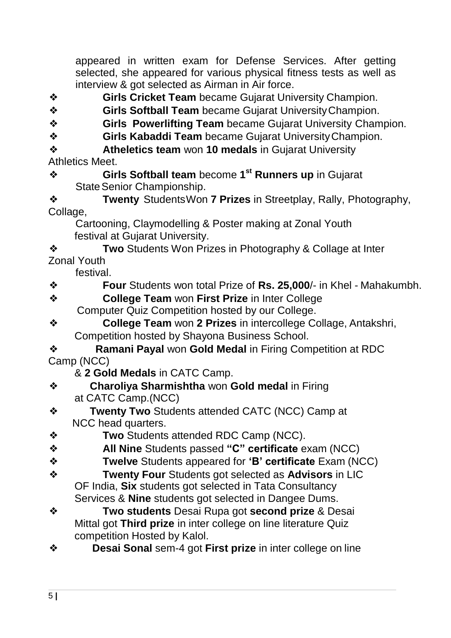appeared in written exam for Defense Services. After getting selected, she appeared for various physical fitness tests as well as interview & got selected as Airman in Air force.

- ❖ **Girls Cricket Team** became Gujarat University Champion.
- ❖ **Girls Softball Team** became Gujarat UniversityChampion.
- ❖ **Girls Powerlifting Team** became Gujarat University Champion.
- ❖ **Girls Kabaddi Team** became Gujarat UniversityChampion.
- ❖ **Atheletics team** won **10 medals** in Gujarat University Athletics Meet.
- ❖ **Girls Softball team** become **1 st Runners up** in Gujarat State Senior Championship.

❖ **Twenty** StudentsWon **7 Prizes** in Streetplay, Rally, Photography, Collage,

Cartooning, Claymodelling & Poster making at Zonal Youth festival at Gujarat University.

❖ **Two** Students Won Prizes in Photography & Collage at Inter Zonal Youth

festival.

- ❖ **Four** Students won total Prize of **Rs. 25,000**/- in Khel Mahakumbh.
- ❖ **College Team** won **First Prize** in Inter College Computer Quiz Competition hosted by our College.
- ❖ **College Team** won **2 Prizes** in intercollege Collage, Antakshri, Competition hosted by Shayona Business School.

❖ **Ramani Payal** won **Gold Medal** in Firing Competition at RDC Camp (NCC)

& **2 Gold Medals** in CATC Camp.

- ❖ **Charoliya Sharmishtha** won **Gold medal** in Firing at CATC Camp.(NCC)
- ❖ **Twenty Two** Students attended CATC (NCC) Camp at NCC head quarters.
- ❖ **Two** Students attended RDC Camp (NCC).
- ❖ **All Nine** Students passed **"C" certificate** exam (NCC)
- ❖ **Twelve** Students appeared for **"B" certificate** Exam (NCC)
- ❖ **Twenty Four** Students got selected as **Advisors** in LIC OF India, **Six** students got selected in Tata Consultancy Services & **Nine** students got selected in Dangee Dums.
- ❖ **Two students** Desai Rupa got **second prize** & Desai Mittal got **Third prize** in inter college on line literature Quiz competition Hosted by Kalol.
- ❖ **Desai Sonal** sem-4 got **First prize** in inter college on line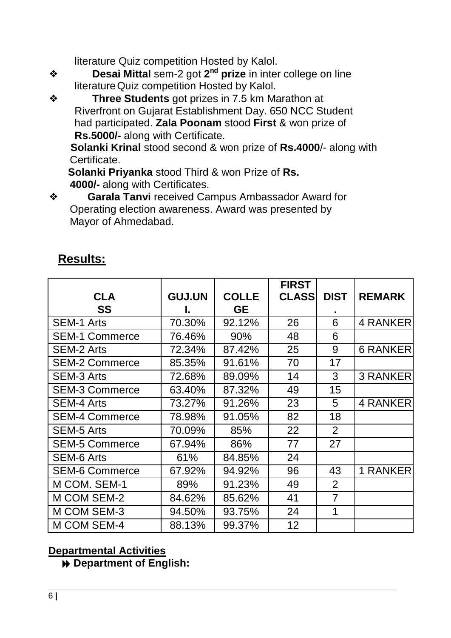literature Quiz competition Hosted by Kalol.

- ❖ **Desai Mittal** sem-2 got **2 nd prize** in inter college on line literatureQuiz competition Hosted by Kalol.
- ❖ **Three Students** got prizes in 7.5 km Marathon at Riverfront on Gujarat Establishment Day. 650 NCC Student had participated. **Zala Poonam** stood **First** & won prize of **Rs.5000/-** along with Certificate.

**Solanki Krinal** stood second & won prize of **Rs.4000**/- along with Certificate.

**Solanki Priyanka** stood Third & won Prize of **Rs. 4000/-** along with Certificates.

❖ **Garala Tanvi** received Campus Ambassador Award for Operating election awareness. Award was presented by Mayor of Ahmedabad.

## **Results:**

|                       |               |              | <b>FIRST</b> |                |                 |
|-----------------------|---------------|--------------|--------------|----------------|-----------------|
| <b>CLA</b>            | <b>GUJ.UN</b> | <b>COLLE</b> | <b>CLASS</b> | <b>DIST</b>    | <b>REMARK</b>   |
| SS                    | I.            | <b>GE</b>    |              |                |                 |
| <b>SEM-1 Arts</b>     | 70.30%        | 92.12%       | 26           | 6              | 4 RANKER        |
| <b>SEM-1 Commerce</b> | 76.46%        | 90%          | 48           | 6              |                 |
| <b>SEM-2 Arts</b>     | 72.34%        | 87.42%       | 25           | 9              | <b>6 RANKER</b> |
| <b>SEM-2 Commerce</b> | 85.35%        | 91.61%       | 70           | 17             |                 |
| <b>SEM-3 Arts</b>     | 72.68%        | 89.09%       | 14           | 3              | <b>3 RANKER</b> |
| <b>SEM-3 Commerce</b> | 63.40%        | 87.32%       | 49           | 15             |                 |
| <b>SEM-4 Arts</b>     | 73.27%        | 91.26%       | 23           | 5              | 4 RANKER        |
| <b>SEM-4 Commerce</b> | 78.98%        | 91.05%       | 82           | 18             |                 |
| <b>SEM-5 Arts</b>     | 70.09%        | 85%          | 22           | 2              |                 |
| <b>SEM-5 Commerce</b> | 67.94%        | 86%          | 77           | 27             |                 |
| <b>SEM-6 Arts</b>     | 61%           | 84.85%       | 24           |                |                 |
| <b>SEM-6 Commerce</b> | 67.92%        | 94.92%       | 96           | 43             | 1 RANKER        |
| M COM. SEM-1          | 89%           | 91.23%       | 49           | 2              |                 |
| M COM SEM-2           | 84.62%        | 85.62%       | 41           | $\overline{7}$ |                 |
| M COM SEM-3           | 94.50%        | 93.75%       | 24           | 1              |                 |
| <b>M COM SEM-4</b>    | 88.13%        | 99.37%       | 12           |                |                 |

#### **Departmental Activities**

**Department of English:**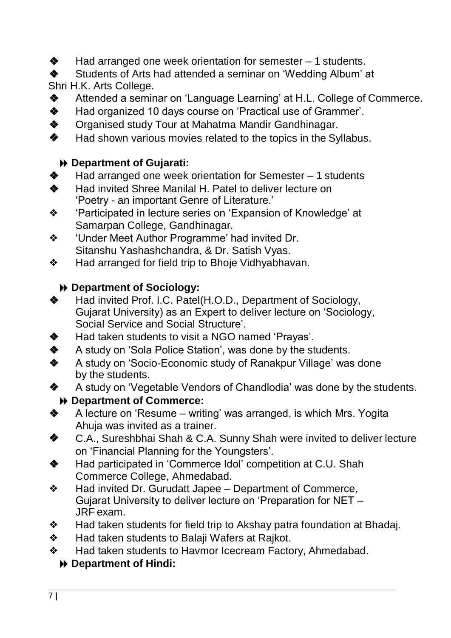- ❖ Had arranged one week orientation for semester 1 students.
- ❖ Students of Arts had attended a seminar on 'Wedding Album' at Shri H.K. Arts College.
- ❖ Attended a seminar on 'Language Learning' at H.L. College of Commerce.
- ❖ Had organized 10 days course on 'Practical use of Grammer'.
- ❖ Organised study Tour at Mahatma Mandir Gandhinagar.
- ❖ Had shown various movies related to the topics in the Syllabus.

#### **Department of Gujarati:**

- ❖ Had arranged one week orientation for Semester 1 students
- ❖ Had invited Shree Manilal H. Patel to deliver lecture on 'Poetry - an important Genre of Literature.'
- ❖ 'Participated in lecture series on 'Expansion of Knowledge' at Samarpan College, Gandhinagar.
- ❖ 'Under Meet Author Programme' had invited Dr. Sitanshu Yashashchandra, & Dr. Satish Vyas.
- ❖ Had arranged for field trip to Bhoje Vidhyabhavan.

#### **Department of Sociology:**

- ❖ Had invited Prof. I.C. Patel(H.O.D., Department of Sociology, Gujarat University) as an Expert to deliver lecture on 'Sociology, Social Service and Social Structure'.
- ❖ Had taken students to visit a NGO named 'Prayas'.
- ◆ A study on 'Sola Police Station', was done by the students.
- ❖ A study on 'Socio-Economic study of Ranakpur Village' was done by the students.
- ❖ A study on 'Vegetable Vendors of Chandlodia' was done by the students. **Department of Commerce:**
- ❖ A lecture on 'Resume writing' was arranged, is which Mrs. Yogita Ahuja was invited as a trainer.
- ❖ C.A., Sureshbhai Shah & C.A. Sunny Shah were invited to deliver lecture on 'Financial Planning for the Youngsters'.
- ◆ Had participated in 'Commerce Idol' competition at C.U. Shah Commerce College, Ahmedabad.
- ❖ Had invited Dr. Gurudatt Japee Department of Commerce, Gujarat University to deliver lecture on 'Preparation for NET – JRF exam.
- ❖ Had taken students for field trip to Akshay patra foundation at Bhadaj.
- ❖ Had taken students to Balaji Wafers at Rajkot.
- ❖ Had taken students to Havmor Icecream Factory, Ahmedabad.

#### **Department of Hindi:**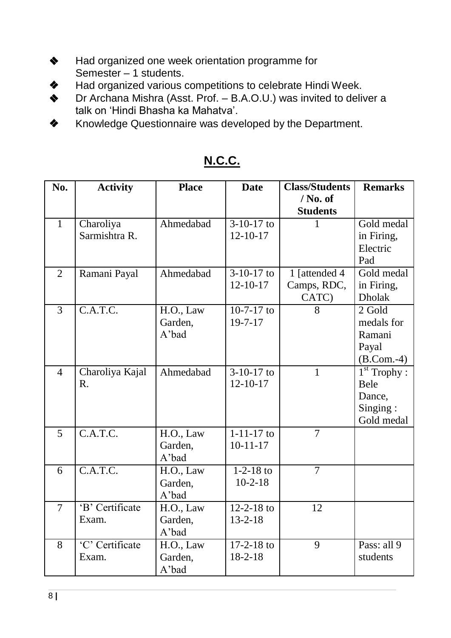- ❖ Had organized one week orientation programme for Semester – 1 students.
- ❖ Had organized various competitions to celebrate Hindi Week.
- ❖ Dr Archana Mishra (Asst. Prof. B.A.O.U.) was invited to deliver a talk on 'Hindi Bhasha ka Mahatva'.
- ❖ Knowledge Questionnaire was developed by the Department.

| No.            | <b>Activity</b>                   | <b>Place</b>                  | <b>Date</b>                               | <b>Class/Students</b>                 | <b>Remarks</b>                                                    |
|----------------|-----------------------------------|-------------------------------|-------------------------------------------|---------------------------------------|-------------------------------------------------------------------|
|                |                                   |                               |                                           | $/$ No. of<br><b>Students</b>         |                                                                   |
| $\mathbf{1}$   | Charoliya<br>Sarmishtra R.        | Ahmedabad                     | $\overline{3-10-17}$ to<br>$12 - 10 - 17$ |                                       | Gold medal<br>in Firing,<br>Electric<br>Pad                       |
| $\overline{2}$ | Ramani Payal                      | Ahmedabad                     | $3-10-17$ to<br>$12 - 10 - 17$            | 1 [attended 4<br>Camps, RDC,<br>CATC) | Gold medal<br>in Firing,<br><b>Dholak</b>                         |
| $\overline{3}$ | C.A.T.C.                          | H.O., Law<br>Garden,<br>A'bad | $10-7-17$ to<br>$19 - 7 - 17$             | 8                                     | 2 Gold<br>medals for<br>Ramani<br>Payal<br>$(B. Com.-4)$          |
| $\overline{4}$ | Charoliya Kajal<br>$\mathbf{R}$ . | Ahmedabad                     | $3-10-17$ to<br>$12 - 10 - 17$            | 1                                     | $1st$ Trophy :<br><b>Bele</b><br>Dance,<br>Singing:<br>Gold medal |
| 5              | C.A.T.C.                          | H.O., Law<br>Garden,<br>A'bad | $1 - 11 - 17$ to<br>$10-11-17$            | $\overline{7}$                        |                                                                   |
| 6              | $\overline{C.A.T.C.}$             | H.O., Law<br>Garden,<br>A'bad | $1 - 2 - 18$ to<br>$10-2-18$              | $\overline{7}$                        |                                                                   |
| $\overline{7}$ | 'B' Certificate<br>Exam.          | H.O., Law<br>Garden,<br>A'bad | $12 - 2 - 18$ to<br>$13 - 2 - 18$         | 12                                    |                                                                   |
| 8              | 'C' Certificate<br>Exam.          | H.O., Law<br>Garden,<br>A'bad | $17-2-18$ to<br>$18 - 2 - 18$             | $\overline{9}$                        | Pass: all $9$<br>students                                         |

# **N.C.C.**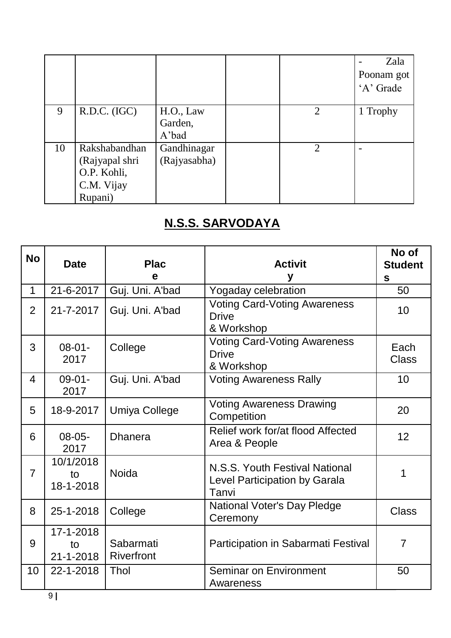|    |                                                                         |                               |                | Zala<br>Poonam got<br>'A' Grade |
|----|-------------------------------------------------------------------------|-------------------------------|----------------|---------------------------------|
| 9  | R.D.C. (IGC)                                                            | H.O., Law<br>Garden,<br>A'bad | 2              | 1 Trophy                        |
| 10 | Rakshabandhan<br>(Rajyapal shri<br>O.P. Kohli,<br>C.M. Vijay<br>Rupani) | Gandhinagar<br>(Rajyasabha)   | $\overline{2}$ |                                 |

# **N.S.S. SARVODAYA**

| <b>No</b>      | <b>Date</b>                        | <b>Plac</b><br>e        | <b>Activit</b>                                                                  | No of<br><b>Student</b><br>$\mathbf{s}$ |
|----------------|------------------------------------|-------------------------|---------------------------------------------------------------------------------|-----------------------------------------|
| 1              | 21-6-2017                          | Guj. Uni. A'bad         | Yogaday celebration                                                             | 50                                      |
| $\overline{2}$ | 21-7-2017                          | Guj. Uni. A'bad         | <b>Voting Card-Voting Awareness</b><br><b>Drive</b><br>& Workshop               | 10                                      |
| 3              | $08 - 01 -$<br>2017                | College                 | <b>Voting Card-Voting Awareness</b><br><b>Drive</b><br>& Workshop               | Each<br><b>Class</b>                    |
| 4              | $09 - 01 -$<br>2017                | Guj. Uni. A'bad         | <b>Voting Awareness Rally</b>                                                   | 10                                      |
| 5              | 18-9-2017                          | Umiya College           | <b>Voting Awareness Drawing</b><br>Competition                                  | 20                                      |
| 6              | $08-05-$<br>2017                   | <b>Dhanera</b>          | Relief work for/at flood Affected<br>Area & People                              | 12                                      |
| $\overline{7}$ | 10/1/2018<br>to<br>18-1-2018       | <b>Noida</b>            | N.S.S. Youth Festival National<br><b>Level Participation by Garala</b><br>Tanvi | 1                                       |
| 8              | 25-1-2018                          | College                 | <b>National Voter's Day Pledge</b><br>Ceremony                                  | <b>Class</b>                            |
| 9              | 17-1-2018<br>to<br>$21 - 1 - 2018$ | Sabarmati<br>Riverfront | Participation in Sabarmati Festival                                             | $\overline{7}$                          |
| 10             | 22-1-2018                          | Thol                    | Seminar on Environment<br>Awareness                                             | 50                                      |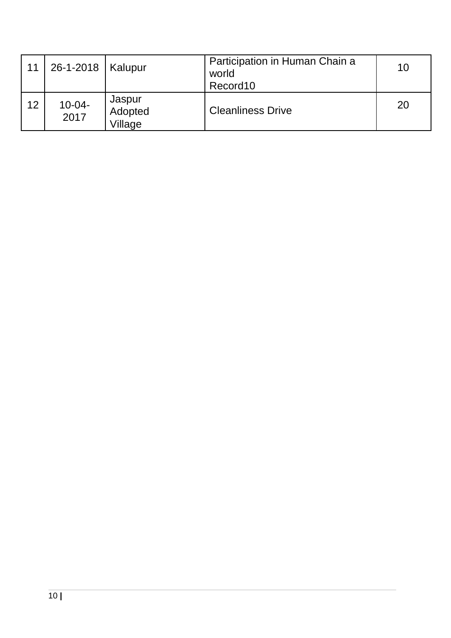| 11 | 26-1-2018   Kalupur |                              | Participation in Human Chain a<br>world<br>Record10 | 10 |
|----|---------------------|------------------------------|-----------------------------------------------------|----|
| 12 | $10 - 04 -$<br>2017 | Jaspur<br>Adopted<br>Village | <b>Cleanliness Drive</b>                            | 20 |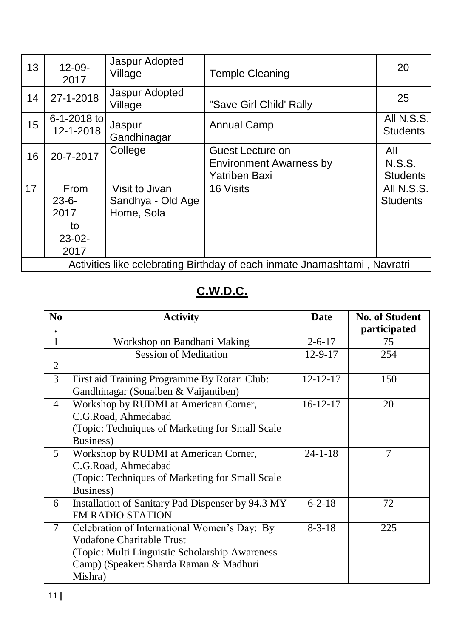| 13 | $12 - 09 -$<br>2017                                         | Jaspur Adopted<br>Village                         | <b>Temple Cleaning</b>                                                     | 20                                      |
|----|-------------------------------------------------------------|---------------------------------------------------|----------------------------------------------------------------------------|-----------------------------------------|
| 14 | 27-1-2018                                                   | Jaspur Adopted<br>Village                         | "Save Girl Child' Rally                                                    | 25                                      |
| 15 | $6 - 1 - 2018$ to<br>12-1-2018                              | Jaspur<br>Gandhinagar                             | <b>Annual Camp</b>                                                         | All N.S.S.<br><b>Students</b>           |
| 16 | 20-7-2017                                                   | College                                           | Guest Lecture on<br><b>Environment Awarness by</b><br><b>Yatriben Baxi</b> | All<br><b>N.S.S.</b><br><b>Students</b> |
| 17 | <b>From</b><br>$23 - 6 -$<br>2017<br>to<br>$23-02-$<br>2017 | Visit to Jivan<br>Sandhya - Old Age<br>Home, Sola | 16 Visits                                                                  | All N.S.S.<br><b>Students</b>           |
|    |                                                             |                                                   | Activities like celebrating Birthday of each inmate Jnamashtami, Navratri  |                                         |

# **C.W.D.C.**

| N <sub>0</sub>           | <b>Activity</b>                                   | <b>Date</b>    | <b>No. of Student</b> |
|--------------------------|---------------------------------------------------|----------------|-----------------------|
|                          |                                                   |                | participated          |
| 1                        | Workshop on Bandhani Making                       | $2 - 6 - 17$   | 75                    |
|                          | <b>Session of Meditation</b>                      | $12 - 9 - 17$  | 254                   |
| $\overline{2}$           |                                                   |                |                       |
| 3                        | First aid Training Programme By Rotari Club:      | $12 - 12 - 17$ | 150                   |
|                          | Gandhinagar (Sonalben & Vaijantiben)              |                |                       |
| $\overline{4}$           | Workshop by RUDMI at American Corner,             | $16-12-17$     | 20                    |
|                          | C.G.Road, Ahmedabad                               |                |                       |
|                          | (Topic: Techniques of Marketing for Small Scale   |                |                       |
|                          | Business)                                         |                |                       |
| $\mathfrak{S}$           | Workshop by RUDMI at American Corner,             | $24 - 1 - 18$  | $\overline{7}$        |
|                          | C.G.Road, Ahmedabad                               |                |                       |
|                          | (Topic: Techniques of Marketing for Small Scale)  |                |                       |
|                          | Business)                                         |                |                       |
| 6                        | Installation of Sanitary Pad Dispenser by 94.3 MY | $6 - 2 - 18$   | 72                    |
|                          | <b>FM RADIO STATION</b>                           |                |                       |
| $\overline{\mathcal{L}}$ | Celebration of International Women's Day: By      | $8 - 3 - 18$   | 225                   |
|                          | <b>Vodafone Charitable Trust</b>                  |                |                       |
|                          | (Topic: Multi Linguistic Scholarship Awareness)   |                |                       |
|                          | Camp) (Speaker: Sharda Raman & Madhuri            |                |                       |
|                          | Mishra)                                           |                |                       |